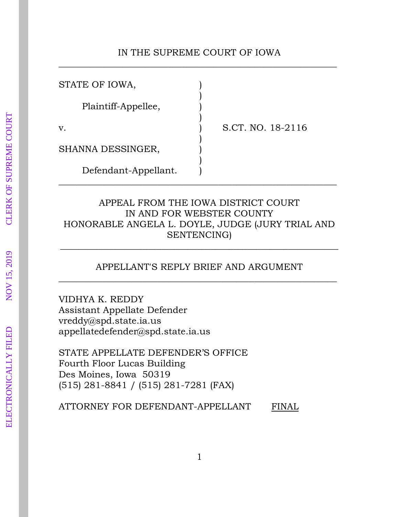## IN THE SUPREME COURT OF IOWA \_\_\_\_\_\_\_\_\_\_\_\_\_\_\_\_\_\_\_\_\_\_\_\_\_\_\_\_\_\_\_\_\_\_\_\_\_\_\_\_\_\_\_\_\_\_\_\_\_\_\_\_\_\_\_\_\_\_\_\_\_

| STATE OF IOWA,       |                   |
|----------------------|-------------------|
| Plaintiff-Appellee,  |                   |
| v.                   | S.CT. NO. 18-2116 |
| SHANNA DESSINGER,    |                   |
| Defendant-Appellant. |                   |

# APPEAL FROM THE IOWA DISTRICT COURT IN AND FOR WEBSTER COUNTY HONORABLE ANGELA L. DOYLE, JUDGE (JURY TRIAL AND SENTENCING)

## APPELLANT'S REPLY BRIEF AND ARGUMENT \_\_\_\_\_\_\_\_\_\_\_\_\_\_\_\_\_\_\_\_\_\_\_\_\_\_\_\_\_\_\_\_\_\_\_\_\_\_\_\_\_\_\_\_\_\_\_\_\_\_\_\_\_\_\_\_\_\_\_\_\_

\_\_\_\_\_\_\_\_\_\_\_\_\_\_\_\_\_\_\_\_\_\_\_\_\_\_\_\_\_\_\_\_\_\_\_\_\_\_\_\_\_\_\_\_\_\_\_\_\_\_\_\_\_\_\_\_\_\_\_\_\_

VIDHYA K. REDDY Assistant Appellate Defender vreddy@spd.state.ia.us appellatedefender@spd.state.ia.us

STATE APPELLATE DEFENDER'S OFFICE Fourth Floor Lucas Building Des Moines, Iowa 50319 (515) 281-8841 / (515) 281-7281 (FAX)

ATTORNEY FOR DEFENDANT-APPELLANT FINAL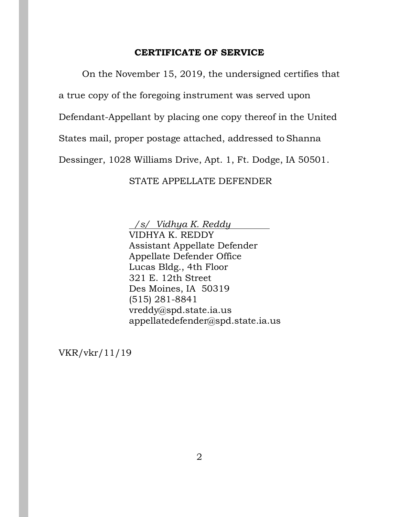#### **CERTIFICATE OF SERVICE**

On the November 15, 2019, the undersigned certifies that a true copy of the foregoing instrument was served upon Defendant-Appellant by placing one copy thereof in the United States mail, proper postage attached, addressed to Shanna Dessinger, 1028 Williams Drive, Apt. 1, Ft. Dodge, IA 50501.

STATE APPELLATE DEFENDER

 */s/ Vidhya K. Reddy*

VIDHYA K. REDDY Assistant Appellate Defender Appellate Defender Office Lucas Bldg., 4th Floor 321 E. 12th Street Des Moines, IA 50319 (515) 281-8841 vreddy@spd.state.ia.us appellatedefender@spd.state.ia.us

VKR/vkr/11/19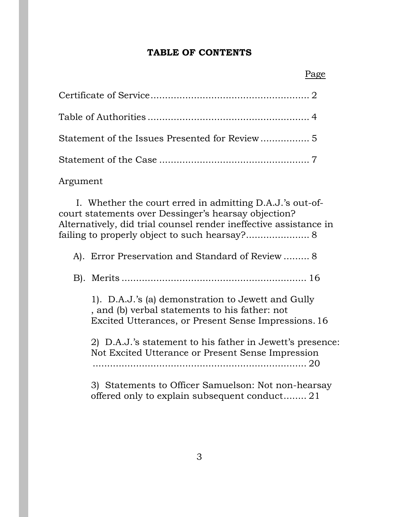#### **TABLE OF CONTENTS**

Statement of the Issues Presented for Review................. 5 Statement of the Case .................................................... 7

Argument

I. Whether the court erred in admitting D.A.J.'s out-ofcourt statements over Dessinger's hearsay objection? Alternatively, did trial counsel render ineffective assistance in failing to properly object to such hearsay?...................... 8

A). Error Preservation and Standard of Review ......... 8

B). Merits ................................................................ 16

1). D.A.J.'s (a) demonstration to Jewett and Gully , and (b) verbal statements to his father: not Excited Utterances, or Present Sense Impressions.16

2) D.A.J.'s statement to his father in Jewett's presence: Not Excited Utterance or Present Sense Impression .......................................................................... 20

3) Statements to Officer Samuelson: Not non-hearsay offered only to explain subsequent conduct........ 21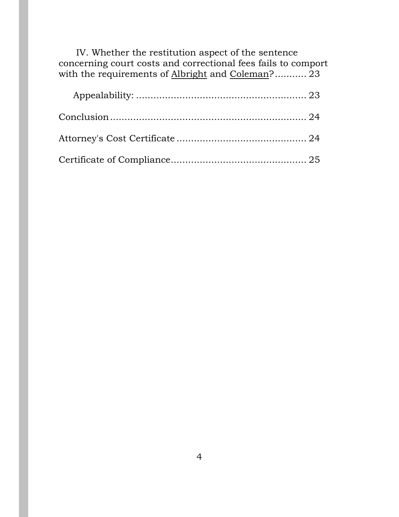| IV. Whether the restitution aspect of the sentence<br>concerning court costs and correctional fees fails to comport |  |
|---------------------------------------------------------------------------------------------------------------------|--|
| with the requirements of Albright and Coleman? 23                                                                   |  |
|                                                                                                                     |  |
|                                                                                                                     |  |
|                                                                                                                     |  |

Certificate of Compliance............................................... 25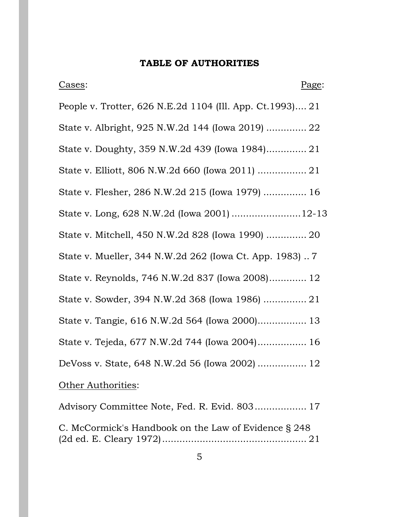# **TABLE OF AUTHORITIES**

| Cases:                                                     | Page: |
|------------------------------------------------------------|-------|
| People v. Trotter, 626 N.E.2d 1104 (Ill. App. Ct. 1993) 21 |       |
| State v. Albright, 925 N.W.2d 144 (Iowa 2019)  22          |       |
| State v. Doughty, 359 N.W.2d 439 (Iowa 1984) 21            |       |
| State v. Elliott, 806 N.W.2d 660 (Iowa 2011)  21           |       |
| State v. Flesher, 286 N.W.2d 215 (Iowa 1979)  16           |       |
| State v. Long, 628 N.W.2d (Iowa 2001) 12-13                |       |
| State v. Mitchell, 450 N.W.2d 828 (Iowa 1990)  20          |       |
| State v. Mueller, 344 N.W.2d 262 (Iowa Ct. App. 1983)      |       |
| State v. Reynolds, 746 N.W.2d 837 (Iowa 2008) 12           |       |
| State v. Sowder, 394 N.W.2d 368 (Iowa 1986)  21            |       |
| State v. Tangie, 616 N.W.2d 564 (Iowa 2000) 13             |       |
| State v. Tejeda, 677 N.W.2d 744 (Iowa 2004) 16             |       |
| DeVoss v. State, 648 N.W.2d 56 (Iowa 2002)  12             |       |
| Other Authorities:                                         |       |
| Advisory Committee Note, Fed. R. Evid. 803 17              |       |

C. McCormick's Handbook on the Law of Evidence § 248 (2d ed. E. Cleary 1972).................................................. 21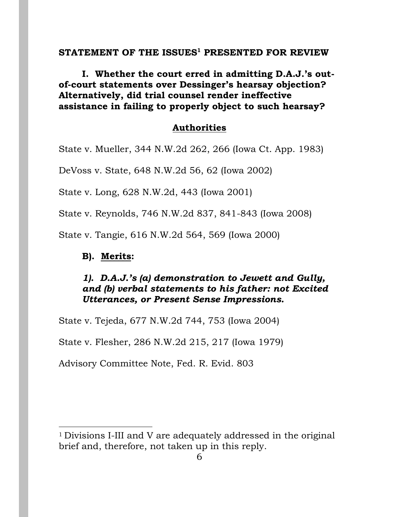### **STATEMENT OF THE ISSUES <sup>1</sup> PRESENTED FOR REVIEW**

**I. Whether the court erred in admitting D.A.J.'s outof-court statements over Dessinger's hearsay objection? Alternatively, did trial counsel render ineffective assistance in failing to properly object to such hearsay?**

### **Authorities**

State v. Mueller, 344 N.W.2d 262, 266 (Iowa Ct. App. 1983)

DeVoss v. State, 648 N.W.2d 56, 62 (Iowa 2002)

State v. Long, 628 N.W.2d, 443 (Iowa 2001)

State v. Reynolds, 746 N.W.2d 837, 841-843 (Iowa 2008)

State v. Tangie, 616 N.W.2d 564, 569 (Iowa 2000)

### **B). Merits:**

 $\overline{a}$ 

## *1). D.A.J.'s (a) demonstration to Jewett and Gully, and (b) verbal statements to his father: not Excited Utterances, or Present Sense Impressions.*

State v. Tejeda, 677 N.W.2d 744, 753 (Iowa 2004)

State v. Flesher, 286 N.W.2d 215, 217 (Iowa 1979)

Advisory Committee Note, Fed. R. Evid. 803

<sup>1</sup> Divisions I-III and V are adequately addressed in the original brief and, therefore, not taken up in this reply.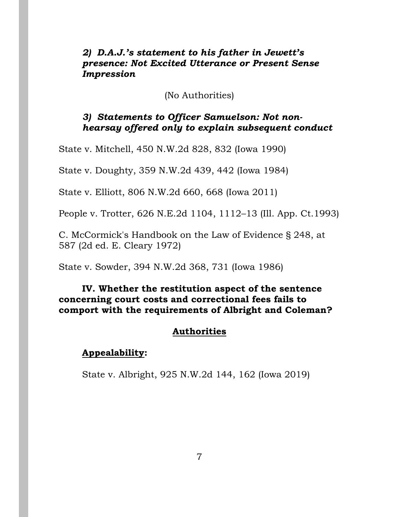## *2) D.A.J.'s statement to his father in Jewett's presence: Not Excited Utterance or Present Sense Impression*

(No Authorities)

# *3) Statements to Officer Samuelson: Not nonhearsay offered only to explain subsequent conduct*

State v. Mitchell, 450 N.W.2d 828, 832 (Iowa 1990)

State v. Doughty, 359 N.W.2d 439, 442 (Iowa 1984)

State v. Elliott, 806 N.W.2d 660, 668 (Iowa 2011)

People v. Trotter, 626 N.E.2d 1104, 1112–13 (Ill. App. Ct.1993)

C. McCormick's Handbook on the Law of Evidence § 248, at 587 (2d ed. E. Cleary 1972)

State v. Sowder, 394 N.W.2d 368, 731 (Iowa 1986)

# **IV. Whether the restitution aspect of the sentence concerning court costs and correctional fees fails to comport with the requirements of Albright and Coleman?**

# **Authorities**

# **Appealability:**

State v. Albright, 925 N.W.2d 144, 162 (Iowa 2019)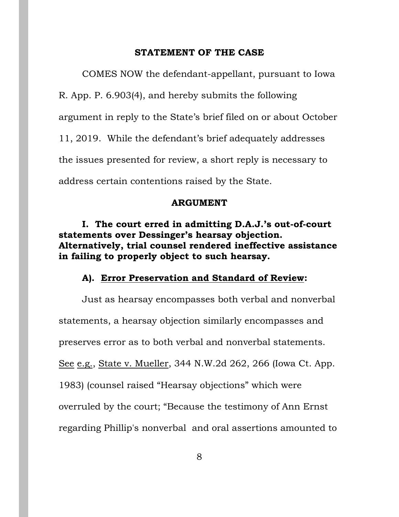#### **STATEMENT OF THE CASE**

COMES NOW the defendant-appellant, pursuant to Iowa R. App. P. 6.903(4), and hereby submits the following argument in reply to the State's brief filed on or about October 11, 2019. While the defendant's brief adequately addresses the issues presented for review, a short reply is necessary to address certain contentions raised by the State.

#### **ARGUMENT**

**I. The court erred in admitting D.A.J.'s out-of-court statements over Dessinger's hearsay objection. Alternatively, trial counsel rendered ineffective assistance in failing to properly object to such hearsay.**

#### **A). Error Preservation and Standard of Review:**

Just as hearsay encompasses both verbal and nonverbal statements, a hearsay objection similarly encompasses and preserves error as to both verbal and nonverbal statements. See e.g., State v. Mueller, 344 N.W.2d 262, 266 (Iowa Ct. App. 1983) (counsel raised "Hearsay objections" which were overruled by the court; "Because the testimony of Ann Ernst regarding Phillip's nonverbal and oral assertions amounted to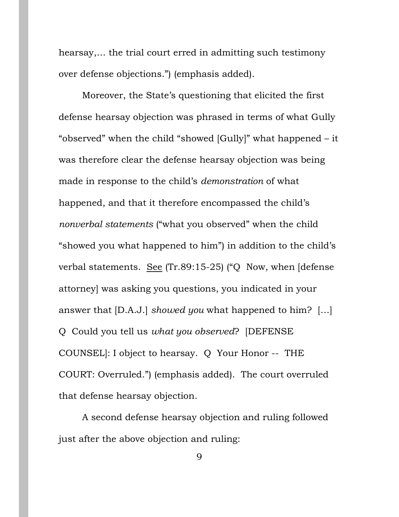hearsay,… the trial court erred in admitting such testimony over defense objections.") (emphasis added).

Moreover, the State's questioning that elicited the first defense hearsay objection was phrased in terms of what Gully "observed" when the child "showed [Gully]" what happened – it was therefore clear the defense hearsay objection was being made in response to the child's *demonstration* of what happened, and that it therefore encompassed the child's *nonverbal statements* ("what you observed" when the child "showed you what happened to him") in addition to the child's verbal statements. See (Tr.89:15-25) ("Q Now, when [defense attorney] was asking you questions, you indicated in your answer that [D.A.J.] *showed you* what happened to him? […] Q Could you tell us *what you observed*? [DEFENSE COUNSEL]: I object to hearsay. Q Your Honor -- THE COURT: Overruled.") (emphasis added). The court overruled that defense hearsay objection.

A second defense hearsay objection and ruling followed just after the above objection and ruling:

9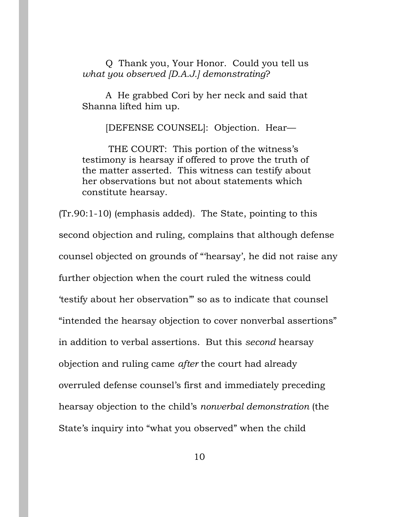Q Thank you, Your Honor. Could you tell us *what you observed [D.A.J.] demonstrating*?

A He grabbed Cori by her neck and said that Shanna lifted him up.

[DEFENSE COUNSEL]: Objection. Hear—

THE COURT: This portion of the witness's testimony is hearsay if offered to prove the truth of the matter asserted. This witness can testify about her observations but not about statements which constitute hearsay.

(Tr.90:1-10) (emphasis added). The State, pointing to this second objection and ruling, complains that although defense counsel objected on grounds of "'hearsay', he did not raise any further objection when the court ruled the witness could 'testify about her observation'" so as to indicate that counsel "intended the hearsay objection to cover nonverbal assertions" in addition to verbal assertions. But this *second* hearsay objection and ruling came *after* the court had already overruled defense counsel's first and immediately preceding hearsay objection to the child's *nonverbal demonstration* (the State's inquiry into "what you observed" when the child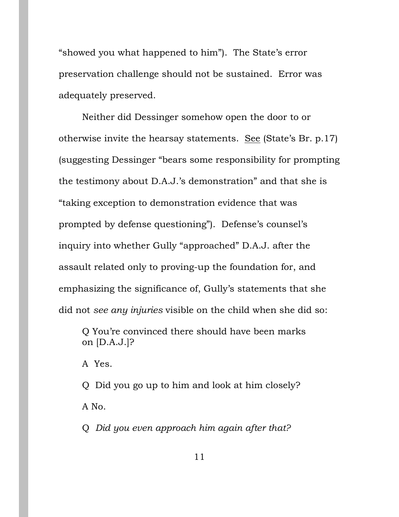"showed you what happened to him"). The State's error preservation challenge should not be sustained. Error was adequately preserved.

Neither did Dessinger somehow open the door to or otherwise invite the hearsay statements. See (State's Br. p.17) (suggesting Dessinger "bears some responsibility for prompting the testimony about D.A.J.'s demonstration" and that she is "taking exception to demonstration evidence that was prompted by defense questioning"). Defense's counsel's inquiry into whether Gully "approached" D.A.J. after the assault related only to proving-up the foundation for, and emphasizing the significance of, Gully's statements that she did not *see any injuries* visible on the child when she did so:

Q You're convinced there should have been marks on [D.A.J.]?

A Yes.

Q Did you go up to him and look at him closely? A No.

Q *Did you even approach him again after that?*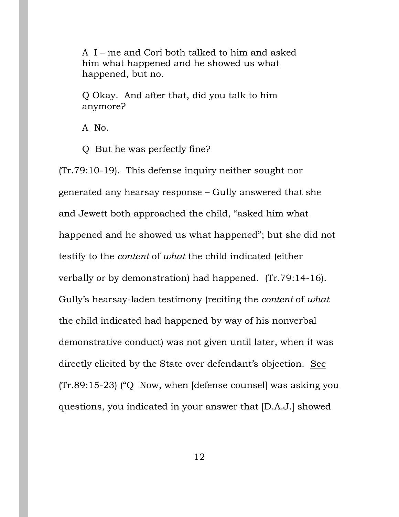A I – me and Cori both talked to him and asked him what happened and he showed us what happened, but no.

Q Okay. And after that, did you talk to him anymore?

A No.

Q But he was perfectly fine?

(Tr.79:10-19). This defense inquiry neither sought nor generated any hearsay response – Gully answered that she and Jewett both approached the child, "asked him what happened and he showed us what happened"; but she did not testify to the *content* of *what* the child indicated (either verbally or by demonstration) had happened. (Tr.79:14-16). Gully's hearsay-laden testimony (reciting the *content* of *what*  the child indicated had happened by way of his nonverbal demonstrative conduct) was not given until later, when it was directly elicited by the State over defendant's objection. See (Tr.89:15-23) ("Q Now, when [defense counsel] was asking you questions, you indicated in your answer that [D.A.J.] showed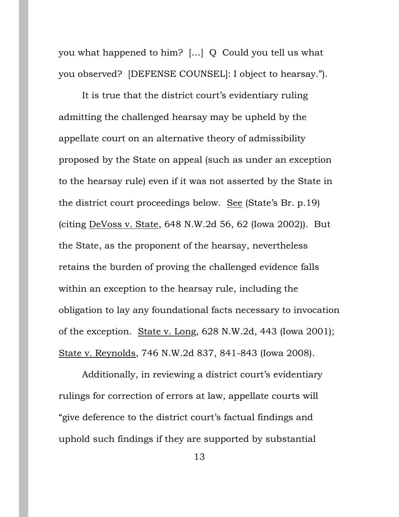you what happened to him? […] Q Could you tell us what you observed? [DEFENSE COUNSEL]: I object to hearsay.").

It is true that the district court's evidentiary ruling admitting the challenged hearsay may be upheld by the appellate court on an alternative theory of admissibility proposed by the State on appeal (such as under an exception to the hearsay rule) even if it was not asserted by the State in the district court proceedings below. See (State's Br. p.19) (citing DeVoss v. State, 648 N.W.2d 56, 62 (Iowa 2002)). But the State, as the proponent of the hearsay, nevertheless retains the burden of proving the challenged evidence falls within an exception to the hearsay rule, including the obligation to lay any foundational facts necessary to invocation of the exception. State v. Long, 628 N.W.2d, 443 (Iowa 2001); State v. Reynolds, 746 N.W.2d 837, 841-843 (Iowa 2008).

Additionally, in reviewing a district court's evidentiary rulings for correction of errors at law, appellate courts will "give deference to the district court's factual findings and uphold such findings if they are supported by substantial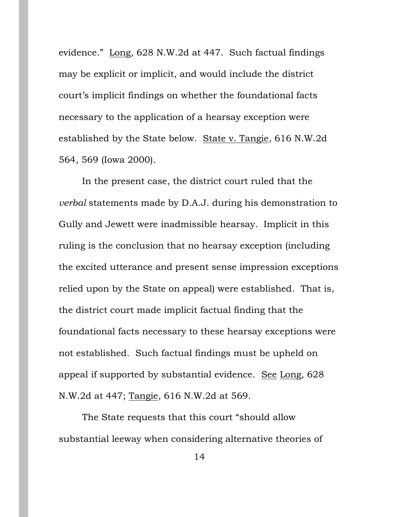evidence." Long, 628 N.W.2d at 447. Such factual findings may be explicit or implicit, and would include the district court's implicit findings on whether the foundational facts necessary to the application of a hearsay exception were established by the State below. State v. Tangie, 616 N.W.2d 564, 569 (Iowa 2000).

In the present case, the district court ruled that the *verbal* statements made by D.A.J. during his demonstration to Gully and Jewett were inadmissible hearsay. Implicit in this ruling is the conclusion that no hearsay exception (including the excited utterance and present sense impression exceptions relied upon by the State on appeal) were established. That is, the district court made implicit factual finding that the foundational facts necessary to these hearsay exceptions were not established. Such factual findings must be upheld on appeal if supported by substantial evidence. See Long, 628 N.W.2d at 447; Tangie, 616 N.W.2d at 569.

The State requests that this court "should allow substantial leeway when considering alternative theories of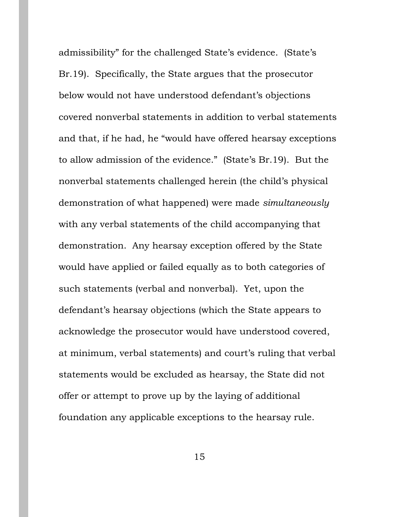admissibility" for the challenged State's evidence. (State's Br.19). Specifically, the State argues that the prosecutor below would not have understood defendant's objections covered nonverbal statements in addition to verbal statements and that, if he had, he "would have offered hearsay exceptions to allow admission of the evidence." (State's Br.19). But the nonverbal statements challenged herein (the child's physical demonstration of what happened) were made *simultaneously* with any verbal statements of the child accompanying that demonstration. Any hearsay exception offered by the State would have applied or failed equally as to both categories of such statements (verbal and nonverbal). Yet, upon the defendant's hearsay objections (which the State appears to acknowledge the prosecutor would have understood covered, at minimum, verbal statements) and court's ruling that verbal statements would be excluded as hearsay, the State did not offer or attempt to prove up by the laying of additional foundation any applicable exceptions to the hearsay rule.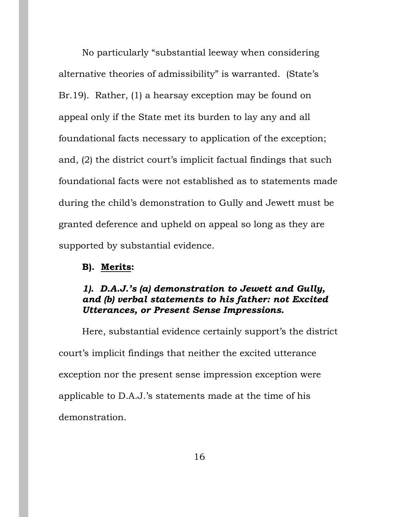No particularly "substantial leeway when considering alternative theories of admissibility" is warranted. (State's Br.19). Rather, (1) a hearsay exception may be found on appeal only if the State met its burden to lay any and all foundational facts necessary to application of the exception; and, (2) the district court's implicit factual findings that such foundational facts were not established as to statements made during the child's demonstration to Gully and Jewett must be granted deference and upheld on appeal so long as they are supported by substantial evidence.

#### **B). Merits:**

## *1). D.A.J.'s (a) demonstration to Jewett and Gully, and (b) verbal statements to his father: not Excited Utterances, or Present Sense Impressions.*

Here, substantial evidence certainly support's the district court's implicit findings that neither the excited utterance exception nor the present sense impression exception were applicable to D.A.J.'s statements made at the time of his demonstration.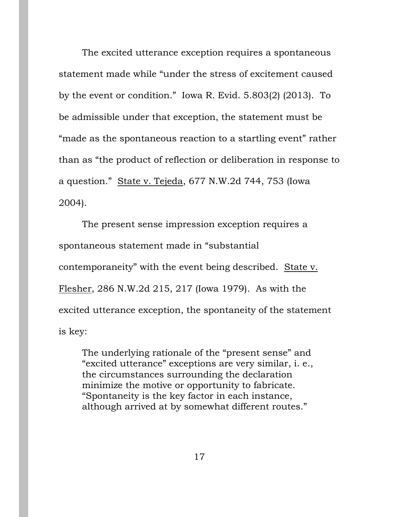The excited utterance exception requires a spontaneous statement made while "under the stress of excitement caused by the event or condition." Iowa R. Evid. 5.803(2) (2013). To be admissible under that exception, the statement must be "made as the spontaneous reaction to a startling event" rather than as "the product of reflection or deliberation in response to a question." State v. Tejeda, 677 N.W.2d 744, 753 (Iowa 2004).

The present sense impression exception requires a spontaneous statement made in "substantial contemporaneity" with the event being described. State v. Flesher, 286 N.W.2d 215, 217 (Iowa 1979). As with the excited utterance exception, the spontaneity of the statement is key:

The underlying rationale of the "present sense" and "excited utterance" exceptions are very similar, i. e., the circumstances surrounding the declaration minimize the motive or opportunity to fabricate. "Spontaneity is the key factor in each instance, although arrived at by somewhat different routes."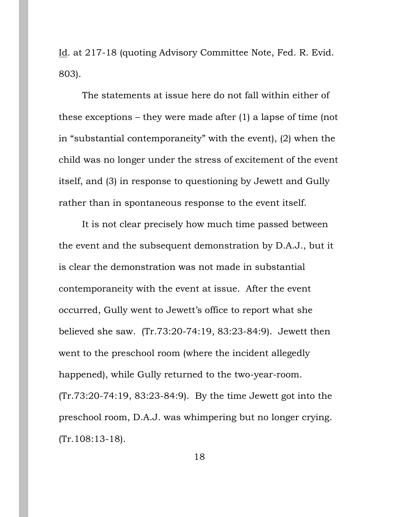Id. at 217-18 (quoting Advisory Committee Note, Fed. R. Evid. 803).

The statements at issue here do not fall within either of these exceptions – they were made after (1) a lapse of time (not in "substantial contemporaneity" with the event), (2) when the child was no longer under the stress of excitement of the event itself, and (3) in response to questioning by Jewett and Gully rather than in spontaneous response to the event itself.

It is not clear precisely how much time passed between the event and the subsequent demonstration by D.A.J., but it is clear the demonstration was not made in substantial contemporaneity with the event at issue. After the event occurred, Gully went to Jewett's office to report what she believed she saw. (Tr.73:20-74:19, 83:23-84:9). Jewett then went to the preschool room (where the incident allegedly happened), while Gully returned to the two-year-room. (Tr.73:20-74:19, 83:23-84:9). By the time Jewett got into the preschool room, D.A.J. was whimpering but no longer crying. (Tr.108:13-18).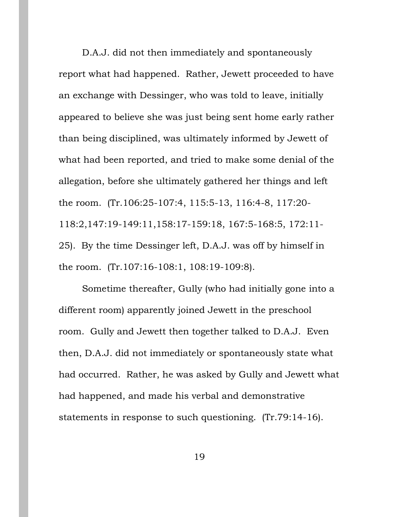D.A.J. did not then immediately and spontaneously report what had happened. Rather, Jewett proceeded to have an exchange with Dessinger, who was told to leave, initially appeared to believe she was just being sent home early rather than being disciplined, was ultimately informed by Jewett of what had been reported, and tried to make some denial of the allegation, before she ultimately gathered her things and left the room. (Tr.106:25-107:4, 115:5-13, 116:4-8, 117:20- 118:2,147:19-149:11,158:17-159:18, 167:5-168:5, 172:11- 25). By the time Dessinger left, D.A.J. was off by himself in the room. (Tr.107:16-108:1, 108:19-109:8).

Sometime thereafter, Gully (who had initially gone into a different room) apparently joined Jewett in the preschool room. Gully and Jewett then together talked to D.A.J. Even then, D.A.J. did not immediately or spontaneously state what had occurred. Rather, he was asked by Gully and Jewett what had happened, and made his verbal and demonstrative statements in response to such questioning. (Tr.79:14-16).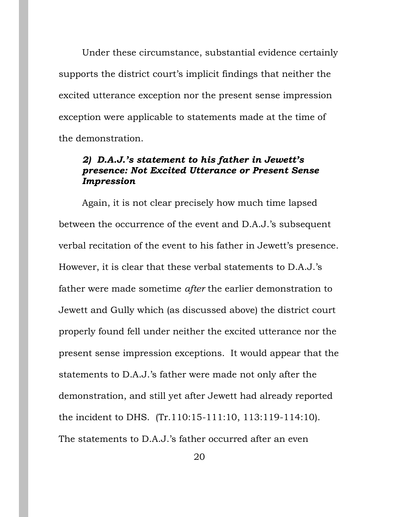Under these circumstance, substantial evidence certainly supports the district court's implicit findings that neither the excited utterance exception nor the present sense impression exception were applicable to statements made at the time of the demonstration.

## *2) D.A.J.'s statement to his father in Jewett's presence: Not Excited Utterance or Present Sense Impression*

Again, it is not clear precisely how much time lapsed between the occurrence of the event and D.A.J.'s subsequent verbal recitation of the event to his father in Jewett's presence. However, it is clear that these verbal statements to D.A.J.'s father were made sometime *after* the earlier demonstration to Jewett and Gully which (as discussed above) the district court properly found fell under neither the excited utterance nor the present sense impression exceptions. It would appear that the statements to D.A.J.'s father were made not only after the demonstration, and still yet after Jewett had already reported the incident to DHS. (Tr.110:15-111:10, 113:119-114:10). The statements to D.A.J.'s father occurred after an even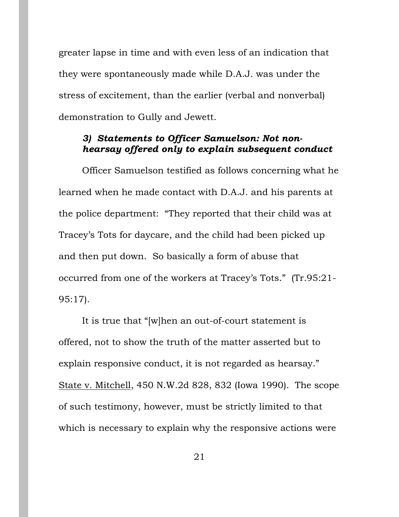greater lapse in time and with even less of an indication that they were spontaneously made while D.A.J. was under the stress of excitement, than the earlier (verbal and nonverbal) demonstration to Gully and Jewett.

# *3) Statements to Officer Samuelson: Not nonhearsay offered only to explain subsequent conduct*

Officer Samuelson testified as follows concerning what he learned when he made contact with D.A.J. and his parents at the police department: "They reported that their child was at Tracey's Tots for daycare, and the child had been picked up and then put down. So basically a form of abuse that occurred from one of the workers at Tracey's Tots." (Tr.95:21- 95:17).

It is true that "[w]hen an out-of-court statement is offered, not to show the truth of the matter asserted but to explain responsive conduct, it is not regarded as hearsay." State v. Mitchell, 450 N.W.2d 828, 832 (Iowa 1990). The scope of such testimony, however, must be strictly limited to that which is necessary to explain why the responsive actions were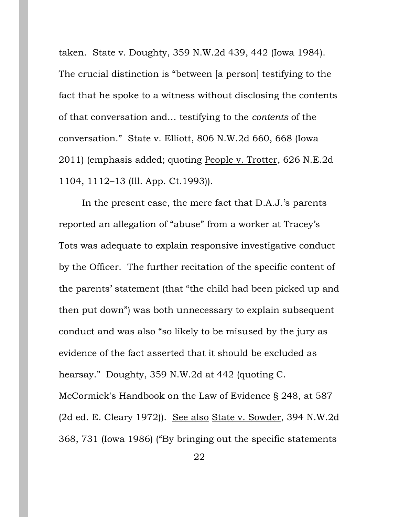taken. State v. Doughty, 359 N.W.2d 439, 442 (Iowa 1984). The crucial distinction is "between [a person] testifying to the fact that he spoke to a witness without disclosing the contents of that conversation and… testifying to the *contents* of the conversation." State v. Elliott, 806 N.W.2d 660, 668 (Iowa 2011) (emphasis added; quoting People v. Trotter, 626 N.E.2d 1104, 1112–13 (Ill. App. Ct.1993)).

In the present case, the mere fact that D.A.J.'s parents reported an allegation of "abuse" from a worker at Tracey's Tots was adequate to explain responsive investigative conduct by the Officer. The further recitation of the specific content of the parents' statement (that "the child had been picked up and then put down") was both unnecessary to explain subsequent conduct and was also "so likely to be misused by the jury as evidence of the fact asserted that it should be excluded as hearsay." Doughty, 359 N.W.2d at 442 (quoting C. McCormick's Handbook on the Law of Evidence § 248, at 587 (2d ed. E. Cleary 1972)). See also State v. Sowder, 394 N.W.2d 368, 731 (Iowa 1986) ("By bringing out the specific statements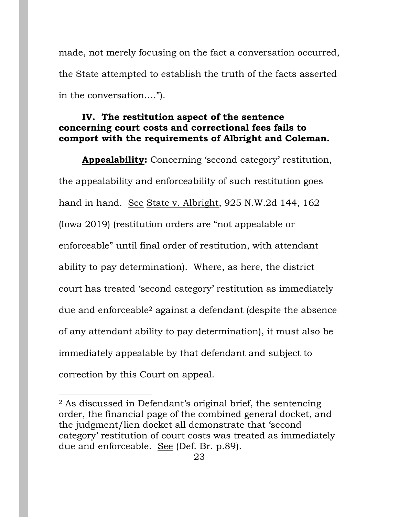made, not merely focusing on the fact a conversation occurred, the State attempted to establish the truth of the facts asserted in the conversation….").

## **IV. The restitution aspect of the sentence concerning court costs and correctional fees fails to comport with the requirements of Albright and Coleman.**

**Appealability:** Concerning 'second category' restitution, the appealability and enforceability of such restitution goes hand in hand. See State v. Albright, 925 N.W.2d 144, 162 (Iowa 2019) (restitution orders are "not appealable or enforceable" until final order of restitution, with attendant ability to pay determination). Where, as here, the district court has treated 'second category' restitution as immediately due and enforceable<sup>2</sup> against a defendant (despite the absence of any attendant ability to pay determination), it must also be immediately appealable by that defendant and subject to correction by this Court on appeal.

 $\overline{a}$ 

<sup>2</sup> As discussed in Defendant's original brief, the sentencing order, the financial page of the combined general docket, and the judgment/lien docket all demonstrate that 'second category' restitution of court costs was treated as immediately due and enforceable. See (Def. Br. p.89).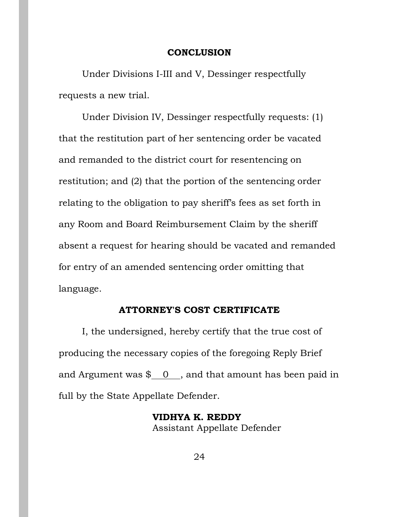#### **CONCLUSION**

Under Divisions I-III and V, Dessinger respectfully requests a new trial.

Under Division IV, Dessinger respectfully requests: (1) that the restitution part of her sentencing order be vacated and remanded to the district court for resentencing on restitution; and (2) that the portion of the sentencing order relating to the obligation to pay sheriff's fees as set forth in any Room and Board Reimbursement Claim by the sheriff absent a request for hearing should be vacated and remanded for entry of an amended sentencing order omitting that language.

### **ATTORNEY'S COST CERTIFICATE**

I, the undersigned, hereby certify that the true cost of producing the necessary copies of the foregoing Reply Brief and Argument was  $\frac{1}{2}$  0, and that amount has been paid in full by the State Appellate Defender.

> **VIDHYA K. REDDY** Assistant Appellate Defender